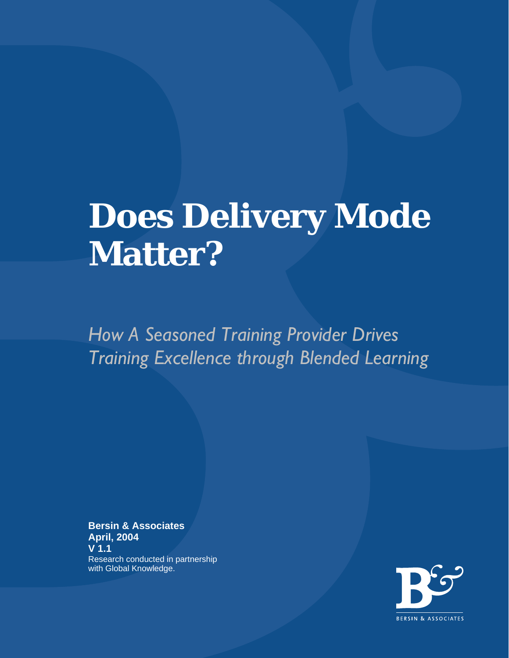# **Does Delivery Mode Matter?**

*How A Seasoned Training Provider Drives Training Excellence through Blended Learning* 

**Bersin & Associates April, 2004 V 1.1**  Research conducted in partnership with Global Knowledge.

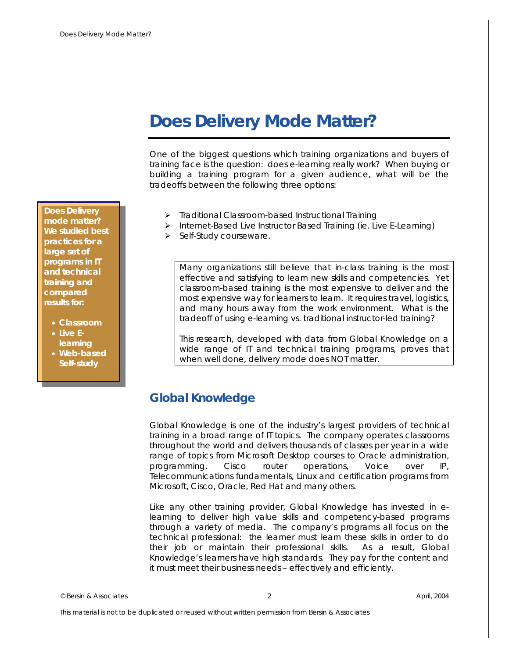# **Does Delivery Mode Matter?**

One of the biggest questions which training organizations and buyers of training face is the question: does e-learning really work? When buying or building a training program for a given audience, what will be the tradeoffs between the following three options:

- ¾ Traditional Classroom-based Instructional Training
- ¾ Internet-Based Live Instructor Based Training (ie. Live E-Learning)
- $\triangleright$  Self-Study courseware.

*Many organizations still believe that in-class training is the most effective and satisfying to learn new skills and competencies. Yet classroom-based training is the most expensive to deliver and the most expensive way for learners to learn. It requires travel, logistics, and many hours away from the work environment. What is the tradeoff of using e-learning vs. traditional instructor-led training?* 

*This research, developed with data from Global Knowledge on a wide range of IT and technical training programs, proves that when well done, delivery mode does NOT matter.* 

# **Global Knowledge**

Global Knowledge is one of the industry's largest providers of technical training in a broad range of IT topics. The company operates classrooms throughout the world and delivers thousands of classes per year in a wide range of topics from Microsoft Desktop courses to Oracle administration, programming, Cisco router operations, Voice over IP, Telecommunications fundamentals, Linux and certification programs from Microsoft, Cisco, Oracle, Red Hat and many others.

Like any other training provider, Global Knowledge has invested in elearning to deliver high value skills and competency-based programs through a variety of media. The company's programs all focus on the technical professional: *the learner must learn these skills in order to do their job or maintain their professional skills. As a result, Global Knowledge's learners have high standards. They pay for the content and it must meet their business needs – effectively and efficiently.*

© Bersin & Associates 2 April, 2004

This material is not to be duplicated or reused without written permission from Bersin & Associates

**Does Delivery mode matter? We studied best practices for a large set of programs in IT and technical training and compared results for:** 

- **Classroom**
- **Live Elearning**
- **Web-based Self-study**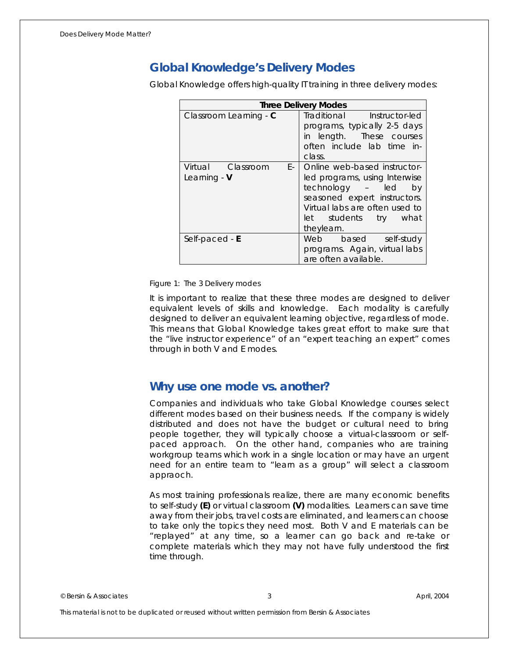# **Global Knowledge's Delivery Modes**

Global Knowledge offers high-quality IT training in three delivery modes:

| <b>Three Delivery Modes</b>               |                                                                                                                                                                                                  |  |  |
|-------------------------------------------|--------------------------------------------------------------------------------------------------------------------------------------------------------------------------------------------------|--|--|
| Classroom Learning - C                    | Traditional Instructor-led<br>programs, typically 2-5 days<br>in length. These courses<br>often include lab time in-<br>class.                                                                   |  |  |
| Virtual Classroom<br>E- 1<br>Learning - V | Online web-based instructor-<br>led programs, using Interwise<br>technology - led<br>by<br>seasoned expert instructors.<br>Virtual labs are often used to<br>let students try what<br>theylearn. |  |  |
| Self-paced $-E$                           | Web based self-study<br>programs. Again, virtual labs<br>are often available.                                                                                                                    |  |  |

Figure 1: The 3 Delivery modes

It is important to realize that these three modes are designed to deliver equivalent levels of skills and knowledge. Each modality is carefully designed to deliver an equivalent learning objective, regardless of mode. This means that Global Knowledge takes great effort to make sure that the "live instructor experience" of an "expert teaching an expert" comes through in both V and E modes.

### **Why use one mode vs. another?**

Companies and individuals who take Global Knowledge courses select different modes based on their business needs. If the company is widely distributed and does not have the budget or cultural need to bring people together, they will typically choose a virtual-classroom or selfpaced approach. On the other hand, companies who are training workgroup teams which work in a single location or may have an urgent need for an entire team to "learn as a group" will select a classroom appraoch.

As most training professionals realize, there are many economic benefits to self-study **(E)** or virtual classroom **(V)** modalities. Learners can save time away from their jobs, travel costs are eliminated, and learners can choose to take only the topics they need most. Both V and E materials can be "replayed" at any time, so a learner can go back and re-take or complete materials which they may not have fully understood the first time through.

© Bersin & Associates 3 April, 2004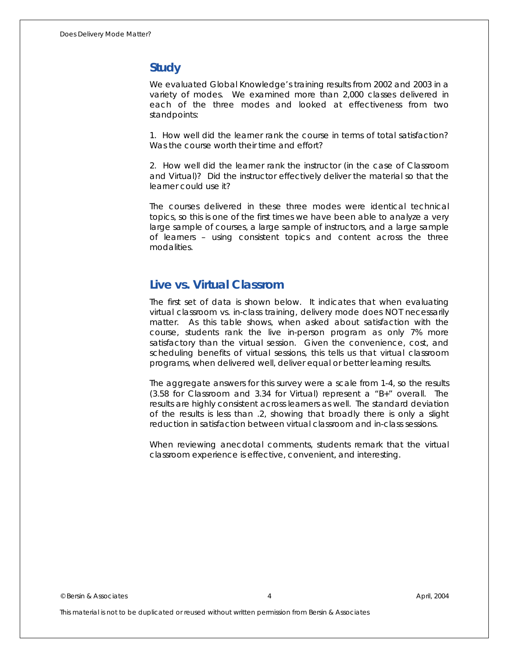# **Study**

We evaluated Global Knowledge's training results from 2002 and 2003 in a variety of modes. We examined more than 2,000 classes delivered in each of the three modes and looked at effectiveness from two standpoints:

1. How well did the learner rank the course in terms of total satisfaction? Was the course worth their time and effort?

2. How well did the learner rank the instructor (in the case of Classroom and Virtual)? Did the instructor effectively deliver the material so that the learner could use it?

The courses delivered in these three modes were identical technical topics, so this is one of the first times we have been able to analyze a very large sample of courses, a large sample of instructors, and a large sample of learners – using consistent topics and content across the three modalities.

# **Live vs. Virtual Classrom**

The first set of data is shown below. It indicates that when evaluating virtual classroom vs. in-class training, delivery mode does NOT necessarily matter. As this table shows, when asked about satisfaction with the *course*, students rank the live in-person program as only 7% more satisfactory than the virtual session. Given the convenience, cost, and scheduling benefits of virtual sessions, this tells us that virtual classroom programs, when delivered well, deliver equal or better learning results.

The aggregate answers for this survey were a scale from 1-4, so the results (3.58 for Classroom and 3.34 for Virtual) represent a "B+" overall. The results are highly consistent across learners as well. The standard deviation of the results is less than .2, showing that broadly there is only a slight reduction in satisfaction between virtual classroom and in-class sessions.

When reviewing anecdotal comments, students remark that the virtual classroom experience is effective, convenient, and interesting.

© Bersin & Associates 4 April, 2004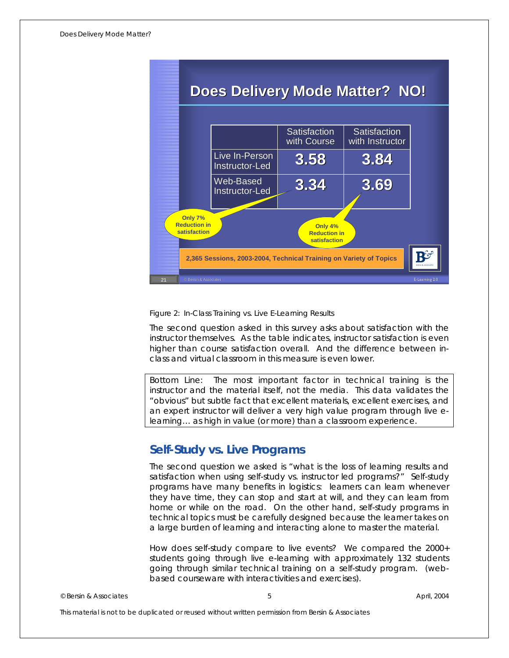| <b>Does Delivery Mode Matter? NO!</b>                                                                                     |                                  |                             |                                 |  |
|---------------------------------------------------------------------------------------------------------------------------|----------------------------------|-----------------------------|---------------------------------|--|
|                                                                                                                           |                                  | Satisfaction<br>with Course | Satisfaction<br>with Instructor |  |
|                                                                                                                           | Live In-Person<br>Instructor-Led | 3.58                        | 3.84                            |  |
|                                                                                                                           | Web-Based<br>Instructor-Led      | 3.34                        | 3.69                            |  |
| Only 7%<br><b>Reduction in</b><br>Only 4%<br>satisfaction<br><b>Reduction in</b><br>satisfaction                          |                                  |                             |                                 |  |
| RS<br>2,365 Sessions, 2003-2004, Technical Training on Variety of Topics<br>E-Learning 2.0<br>© Bersin & Associates<br>21 |                                  |                             |                                 |  |

Figure 2: In-Class Training vs. Live E-Learning Results

The second question asked in this survey asks about satisfaction with the instructor themselves. As the table indicates, instructor satisfaction is even higher than course satisfaction overall. And the difference between inclass and virtual classroom in this measure is even lower.

*Bottom Line: The most important factor in technical training is the instructor and the material itself, not the media. This data validates the "obvious" but subtle fact that excellent materials, excellent exercises, and an expert instructor will deliver a very high value program through live elearning… as high in value (or more) than a classroom experience.* 

# **Self-Study vs. Live Programs**

The second question we asked is "what is the loss of learning results and satisfaction when using self-study vs. instructor led programs?" Self-study programs have many benefits in logistics: learners can learn whenever they have time, they can stop and start at will, and they can learn from home or while on the road. On the other hand, self-study programs in technical topics must be carefully designed because the learner takes on a large burden of learning and interacting alone to master the material.

How does self-study compare to live events? We compared the 2000+ students going through live e-learning with approximately 132 students going through similar technical training on a self-study program. (webbased courseware with interactivities and exercises).

© Bersin & Associates 5 April, 2004

This material is not to be duplicated or reused without written permission from Bersin & Associates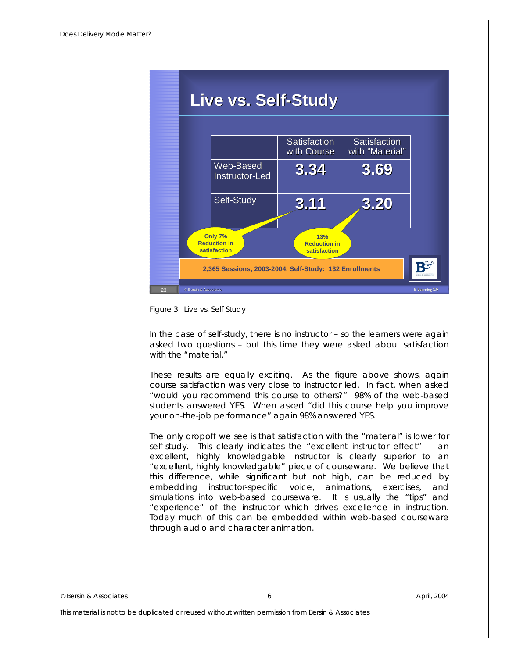

Figure 3: Live vs. Self Study

In the case of self-study, there is no instructor – so the learners were again asked two questions – but this time they were asked about satisfaction with the "material."

These results are equally exciting. As the figure above shows, again course satisfaction was very close to instructor led. In fact, when asked "would you recommend this course to others?" 98% of the web-based students answered YES. When asked "did this course help you improve your on-the-job performance" again 98% answered YES.

The only dropoff we see is that satisfaction with the "material" is lower for self-study. This clearly indicates the "excellent instructor effect" - an excellent, highly knowledgable instructor is clearly superior to an "excellent, highly knowledgable" piece of courseware. We believe that this difference, while significant but not high, can be reduced by embedding instructor-specific voice, animations, exercises, and simulations into web-based courseware. It is usually the "tips" and "experience" of the instructor which drives excellence in instruction. Today much of this can be embedded within web-based courseware through audio and character animation.

© Bersin & Associates 6 April, 2004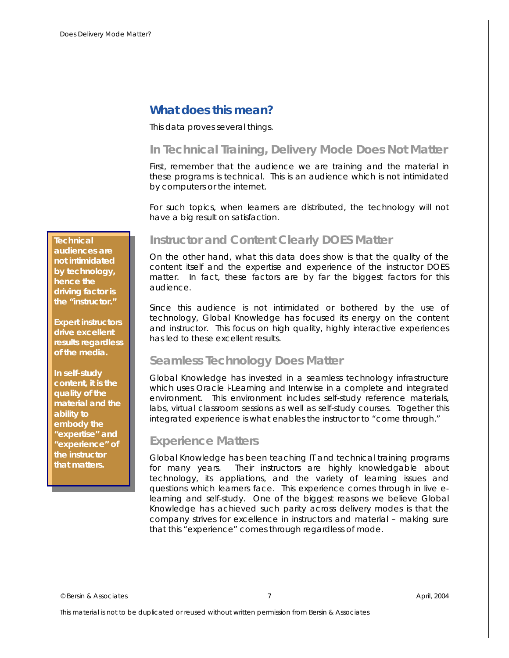# **What does this mean?**

#### This data proves several things.

# *In Technical Training, Delivery Mode Does Not Matter*

First, remember that the audience we are training and the material in these programs is technical. This is an audience which is not intimidated by computers or the internet.

For such topics, when learners are distributed, the technology will not have a big result on satisfaction.

**Technical** 

**audiences are not intimidated by technology, hence the driving factor is the "instructor."** 

**Expert instructors drive excellent results regardless of the media.** 

**In self-study content, it is the quality of the material and the ability to embody the "expertise" and "experience" of the instructor that matters.** 

### *Instructor and Content Clearly DOES Matter*

On the other hand, what this data does show is that the quality of the content itself and the expertise and experience of the instructor DOES matter. In fact, these factors are by far the biggest factors for this audience.

Since this audience is not intimidated or bothered by the use of technology, Global Knowledge has focused its energy on the content and instructor. This focus on high quality, highly interactive experiences has led to these excellent results.

### *Seamless Technology Does Matter*

Global Knowledge has invested in a seamless technology infrastructure which uses Oracle i-Learning and Interwise in a complete and integrated environment. This environment includes self-study reference materials, labs, virtual classroom sessions as well as self-study courses. Together this integrated experience is what enables the instructor to "come through."

### *Experience Matters*

Global Knowledge has been teaching IT and technical training programs for many years. Their instructors are highly knowledgable about technology, its appliations, and the variety of learning issues and questions which learners face. This experience comes through in live elearning and self-study. One of the biggest reasons we believe Global Knowledge has achieved such parity across delivery modes is that the company strives for excellence in instructors and material – making sure that this "experience" comes through regardless of mode.

© Bersin & Associates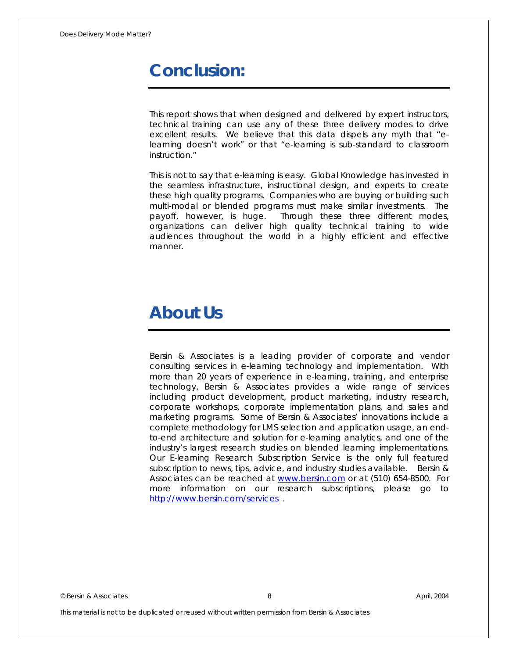# **Conclusion:**

This report shows that when designed and delivered by expert instructors, technical training can use any of these three delivery modes to drive excellent results. We believe that this data dispels any myth that "elearning doesn't work" or that "e-learning is sub-standard to classroom instruction."

This is not to say that e-learning is easy. Global Knowledge has invested in the seamless infrastructure, instructional design, and experts to create these high quality programs. Companies who are buying or building such multi-modal or blended programs must make similar investments. The payoff, however, is huge. Through these three different modes, organizations can deliver high quality technical training to wide audiences throughout the world in a highly efficient and effective manner.

# **About Us**

Bersin & Associates is a leading provider of corporate and vendor consulting services in e-learning technology and implementation. With more than 20 years of experience in e-learning, training, and enterprise technology, Bersin & Associates provides a wide range of services including product development, product marketing, industry research, corporate workshops, corporate implementation plans, and sales and marketing programs. Some of Bersin & Associates' innovations include a complete methodology for LMS selection and application usage, an endto-end architecture and solution for e-learning analytics, and one of the industry's largest research studies on blended learning implementations. Our E-learning Research Subscription Service is the only full featured subscription to news, tips, advice, and industry studies available. Bersin & Associates can be reached at [www.bersin.com](http://www.bersin.com/) or at (510) 654-8500. For more information on our research subscriptions, please go to <http://www.bersin.com/services>.

© Bersin & Associates 8 April, 2004